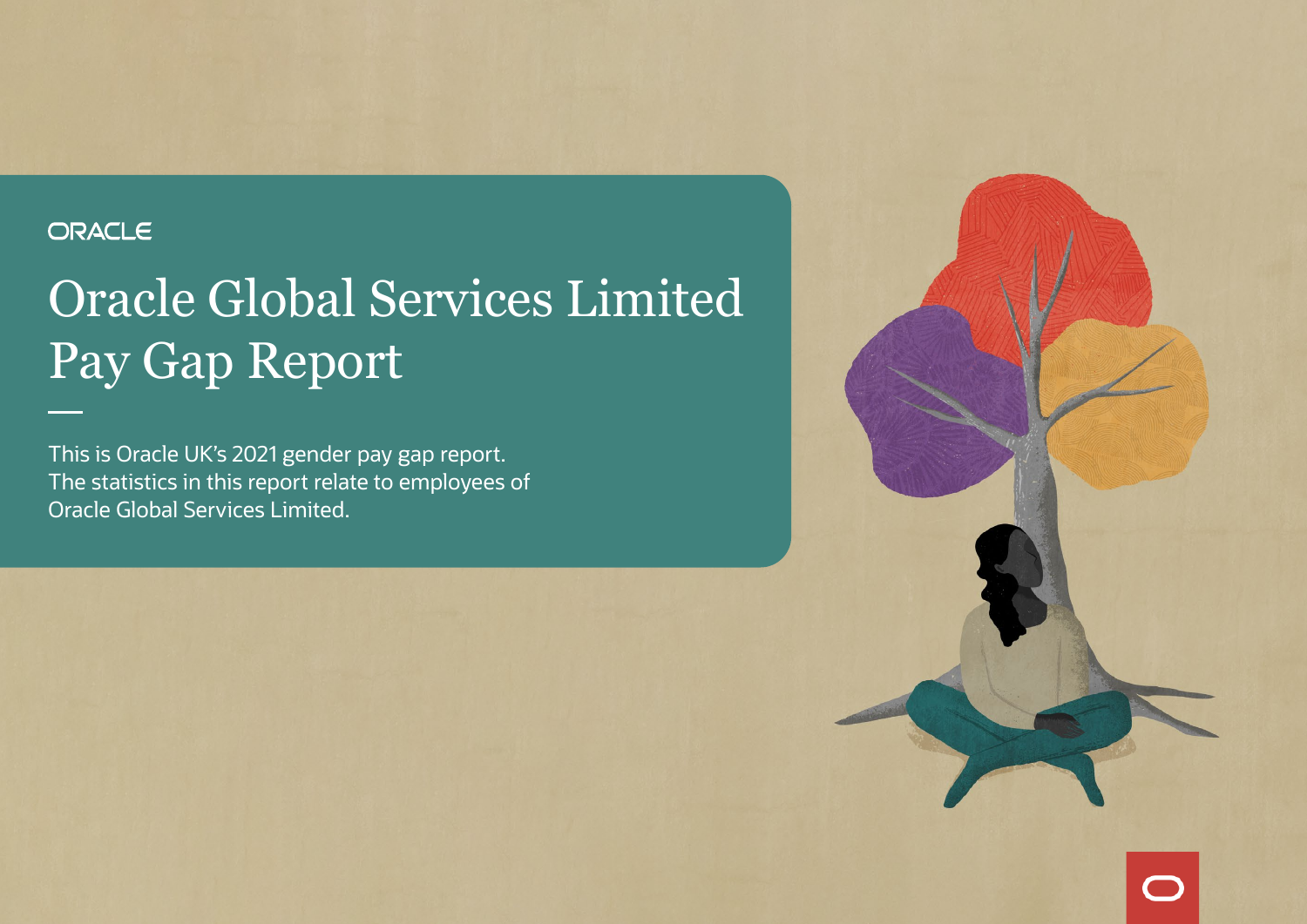### ORACLE

## Oracle Global Services Limited Pay Gap Report

This is Oracle UK's 2021 gender pay gap report. The statistics in this report relate to employees of Oracle Global Services Limited.

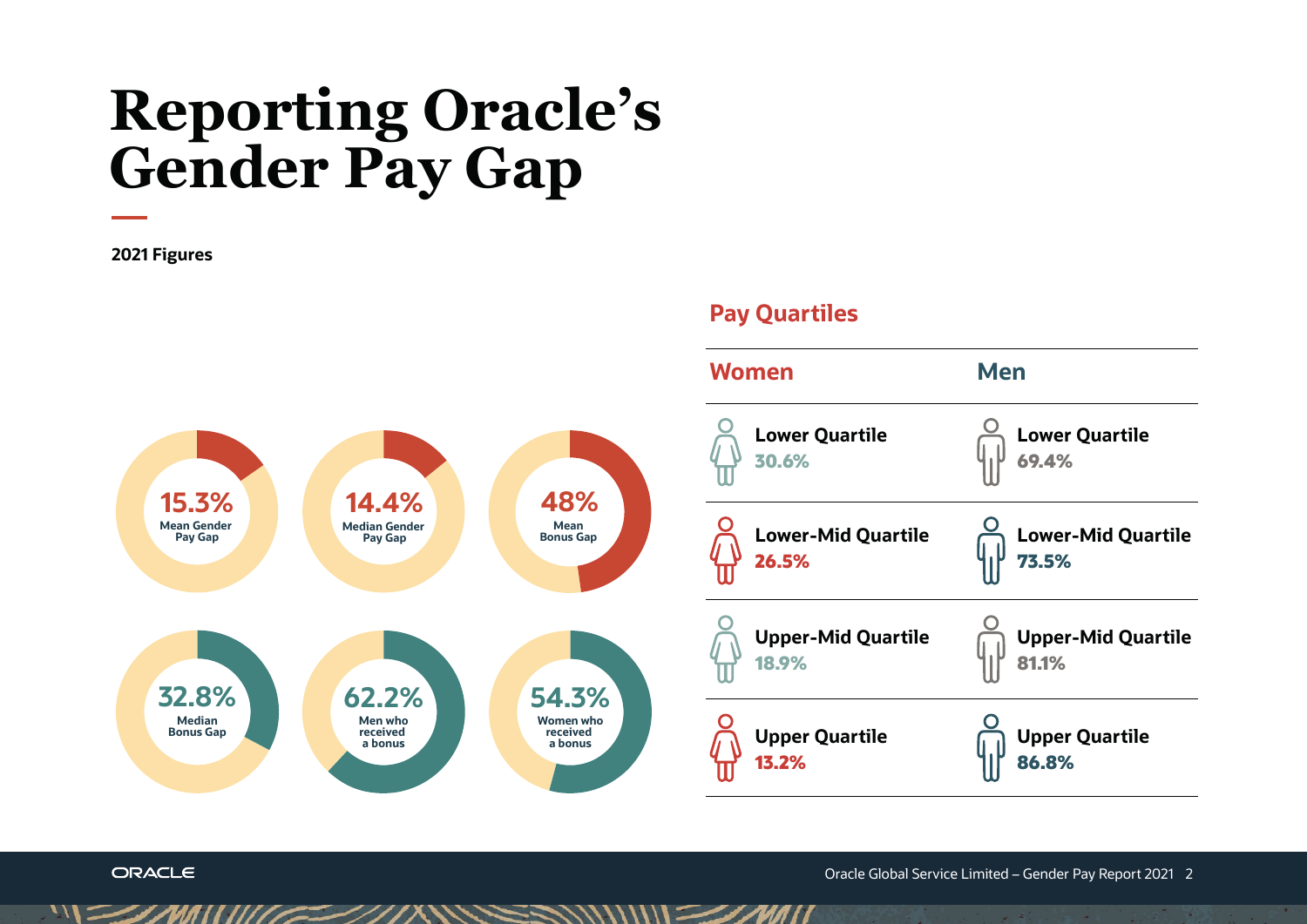## **Reporting Oracle's Gender Pay Gap**

**2021 Figures**



**Pay Quartiles**

ORACLE

Oracle Global Service Limited – Gender Pay Report 2021 2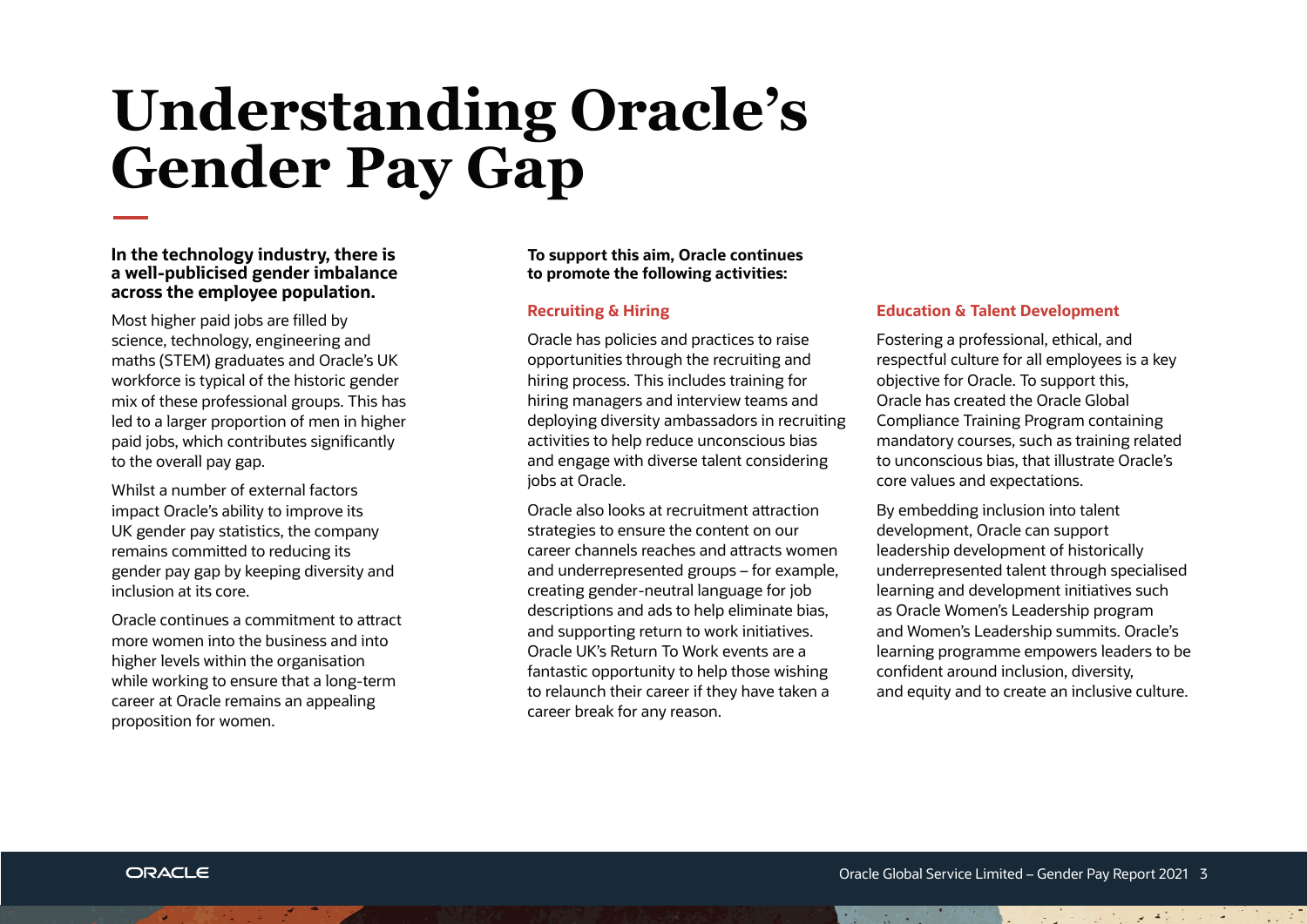# **Understanding Oracle's Gender Pay Gap**

#### **In the technology industry, there is a well-publicised gender imbalance across the employee population.**

Most higher paid jobs are filled by science, technology, engineering and maths (STEM) graduates and Oracle's UK workforce is typical of the historic gender mix of these professional groups. This has led to a larger proportion of men in higher paid jobs, which contributes significantly to the overall pay gap.

Whilst a number of external factors impact Oracle's ability to improve its UK gender pay statistics, the company remains committed to reducing its gender pay gap by keeping diversity and inclusion at its core.

Oracle continues a commitment to attract more women into the business and into higher levels within the organisation while working to ensure that a long-term career at Oracle remains an appealing proposition for women.

#### **To support this aim, Oracle continues to promote the following activities:**

#### **Recruiting & Hiring**

Oracle has policies and practices to raise opportunities through the recruiting and hiring process. This includes training for hiring managers and interview teams and deploying diversity ambassadors in recruiting activities to help reduce unconscious bias and engage with diverse talent considering jobs at Oracle.

Oracle also looks at recruitment attraction strategies to ensure the content on our career channels reaches and attracts women and underrepresented groups – for example, creating gender-neutral language for job descriptions and ads to help eliminate bias, and supporting return to work initiatives. Oracle UK's Return To Work events are a fantastic opportunity to help those wishing to relaunch their career if they have taken a career break for any reason.

#### **Education & Talent Development**

Fostering a professional, ethical, and respectful culture for all employees is a key objective for Oracle. To support this, Oracle has created the Oracle Global Compliance Training Program containing mandatory courses, such as training related to unconscious bias, that illustrate Oracle's core values and expectations.

By embedding inclusion into talent development, Oracle can support leadership development of historically underrepresented talent through specialised learning and development initiatives such as Oracle Women's Leadership program and Women's Leadership summits. Oracle's learning programme empowers leaders to be confident around inclusion, diversity, and equity and to create an inclusive culture.

the second company of the

 $\sim 200$   $\sim 100$ 

 $\overline{\phantom{a}}$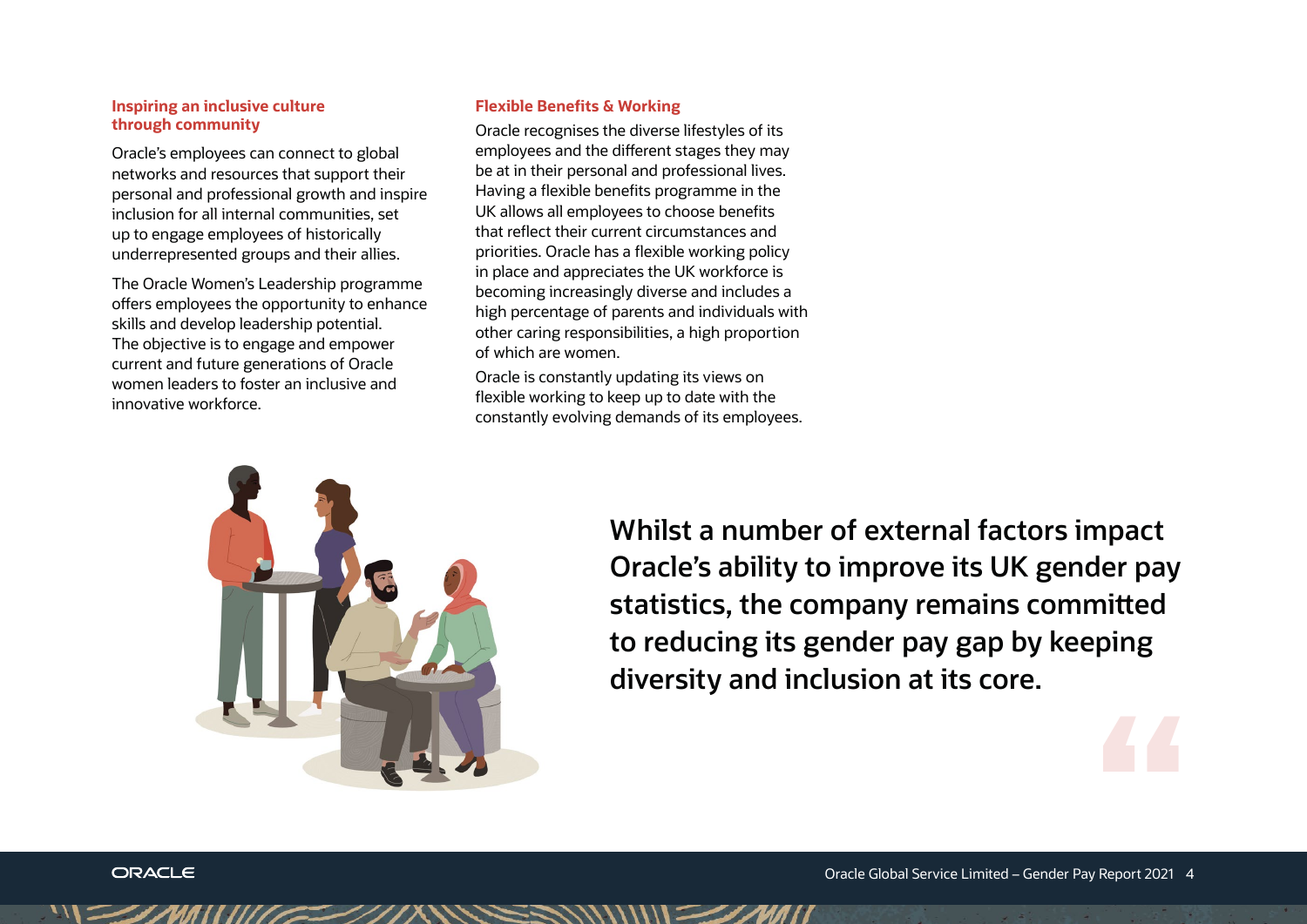#### **Inspiring an inclusive culture through community**

Oracle's employees can connect to global networks and resources that support their personal and professional growth and inspire inclusion for all internal communities, set up to engage employees of historically underrepresented groups and their allies.

The Oracle Women's Leadership programme offers employees the opportunity to enhance skills and develop leadership potential. The objective is to engage and empower current and future generations of Oracle women leaders to foster an inclusive and innovative workforce.

#### **Flexible Benefits & Working**

Oracle recognises the diverse lifestyles of its employees and the different stages they may be at in their personal and professional lives. Having a flexible benefits programme in the UK allows all employees to choose benefits that reflect their current circumstances and priorities. Oracle has a flexible working policy in place and appreciates the UK workforce is becoming increasingly diverse and includes a high percentage of parents and individuals with other caring responsibilities, a high proportion of which are women.

Oracle is constantly updating its views on flexible working to keep up to date with the constantly evolving demands of its employees.



**Whilst a number of external factors impact Oracle's ability to improve its UK gender pay statistics, the company remains committed to reducing its gender pay gap by keeping diversity and inclusion at its core.**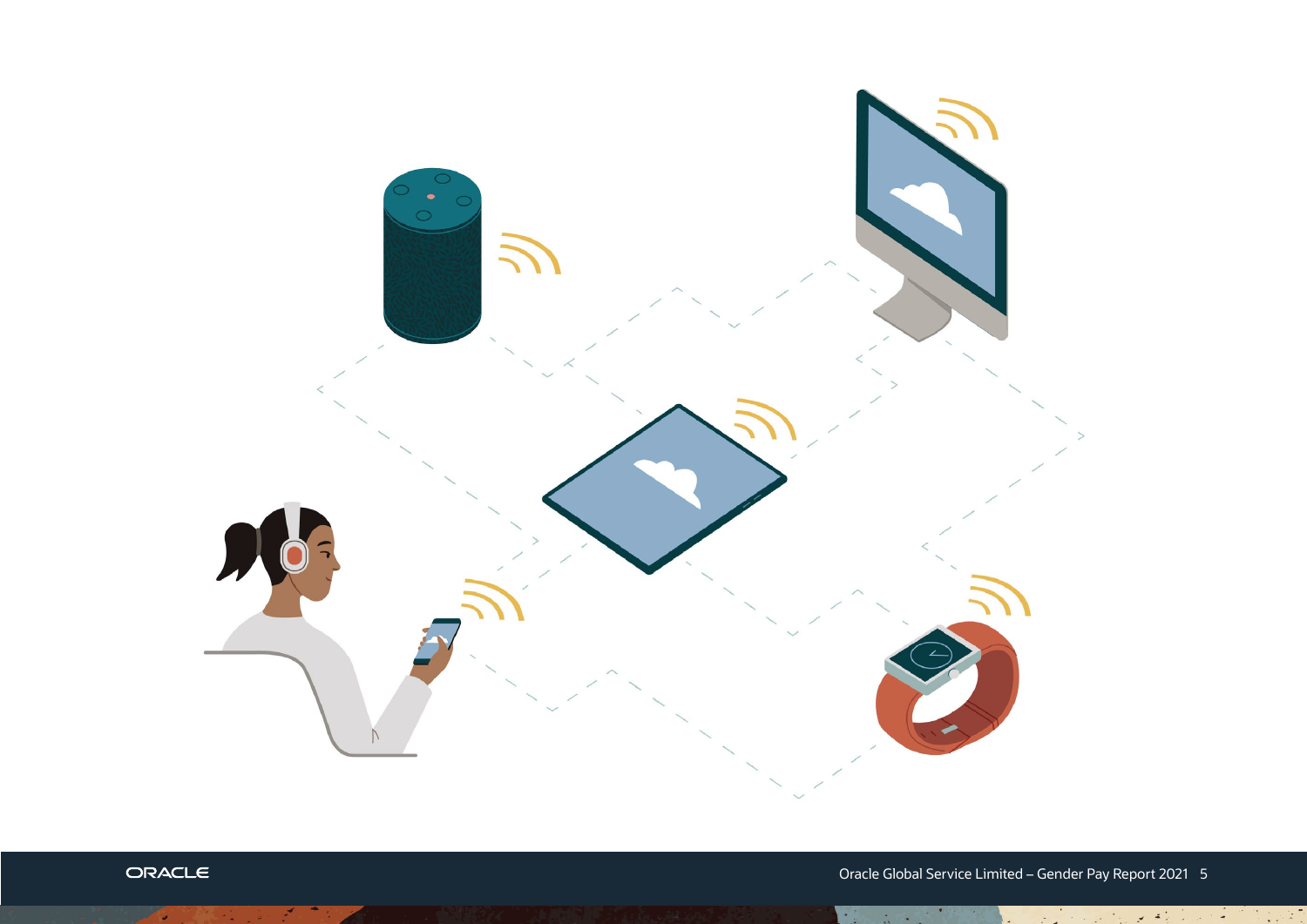

 $\mathcal{L}^{\mathcal{L}}$ 

a family to go the

 $\rightarrow$ 

 $\mathcal{A}=\mathcal{A}$ 

 $\sim$  1

 $\mathbb{R}^2$ 

 $\ddot{\phantom{a}}$ 

 $\mathcal{L}$